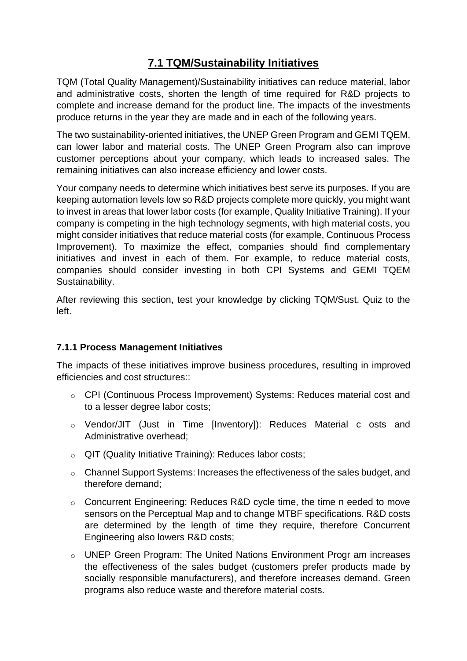## **7.1 TQM/Sustainability Initiatives**

TQM (Total Quality Management)/Sustainability initiatives can reduce material, labor and administrative costs, shorten the length of time required for R&D projects to complete and increase demand for the product line. The impacts of the investments produce returns in the year they are made and in each of the following years.

The two sustainability-oriented initiatives, the UNEP Green Program and GEMI TQEM, can lower labor and material costs. The UNEP Green Program also can improve customer perceptions about your company, which leads to increased sales. The remaining initiatives can also increase efficiency and lower costs.

Your company needs to determine which initiatives best serve its purposes. If you are keeping automation levels low so R&D projects complete more quickly, you might want to invest in areas that lower labor costs (for example, Quality Initiative Training). If your company is competing in the high technology segments, with high material costs, you might consider initiatives that reduce material costs (for example, Continuous Process Improvement). To maximize the effect, companies should find complementary initiatives and invest in each of them. For example, to reduce material costs, companies should consider investing in both CPI Systems and GEMI TQEM Sustainability.

After reviewing this section, test your knowledge by clicking TQM/Sust. Quiz to the left.

## **7.1.1 Process Management Initiatives**

The impacts of these initiatives improve business procedures, resulting in improved efficiencies and cost structures::

- o CPI (Continuous Process Improvement) Systems: Reduces material cost and to a lesser degree labor costs;
- o Vendor/JIT (Just in Time [Inventory]): Reduces Material c osts and Administrative overhead;
- o QIT (Quality Initiative Training): Reduces labor costs;
- o Channel Support Systems: Increases the effectiveness of the sales budget, and therefore demand;
- o Concurrent Engineering: Reduces R&D cycle time, the time n eeded to move sensors on the Perceptual Map and to change MTBF specifications. R&D costs are determined by the length of time they require, therefore Concurrent Engineering also lowers R&D costs;
- o UNEP Green Program: The United Nations Environment Progr am increases the effectiveness of the sales budget (customers prefer products made by socially responsible manufacturers), and therefore increases demand. Green programs also reduce waste and therefore material costs.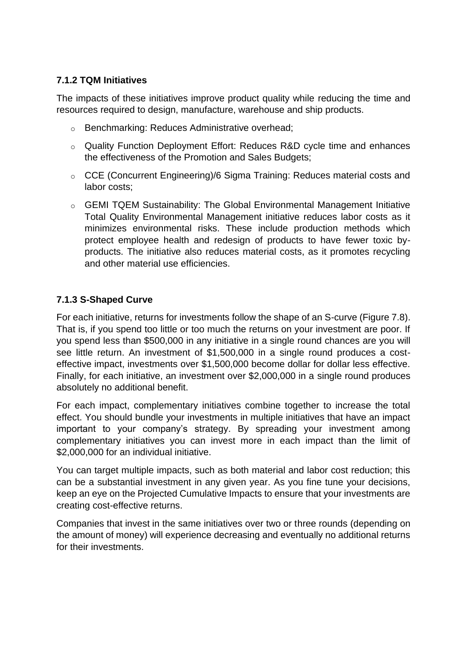## **7.1.2 TQM Initiatives**

The impacts of these initiatives improve product quality while reducing the time and resources required to design, manufacture, warehouse and ship products.

- o Benchmarking: Reduces Administrative overhead;
- o Quality Function Deployment Effort: Reduces R&D cycle time and enhances the effectiveness of the Promotion and Sales Budgets;
- o CCE (Concurrent Engineering)/6 Sigma Training: Reduces material costs and labor costs;
- o GEMI TQEM Sustainability: The Global Environmental Management Initiative Total Quality Environmental Management initiative reduces labor costs as it minimizes environmental risks. These include production methods which protect employee health and redesign of products to have fewer toxic byproducts. The initiative also reduces material costs, as it promotes recycling and other material use efficiencies.

## **7.1.3 S-Shaped Curve**

For each initiative, returns for investments follow the shape of an S-curve (Figure 7.8). That is, if you spend too little or too much the returns on your investment are poor. If you spend less than \$500,000 in any initiative in a single round chances are you will see little return. An investment of \$1,500,000 in a single round produces a costeffective impact, investments over \$1,500,000 become dollar for dollar less effective. Finally, for each initiative, an investment over \$2,000,000 in a single round produces absolutely no additional benefit.

For each impact, complementary initiatives combine together to increase the total effect. You should bundle your investments in multiple initiatives that have an impact important to your company's strategy. By spreading your investment among complementary initiatives you can invest more in each impact than the limit of \$2,000,000 for an individual initiative.

You can target multiple impacts, such as both material and labor cost reduction; this can be a substantial investment in any given year. As you fine tune your decisions, keep an eye on the Projected Cumulative Impacts to ensure that your investments are creating cost-effective returns.

Companies that invest in the same initiatives over two or three rounds (depending on the amount of money) will experience decreasing and eventually no additional returns for their investments.